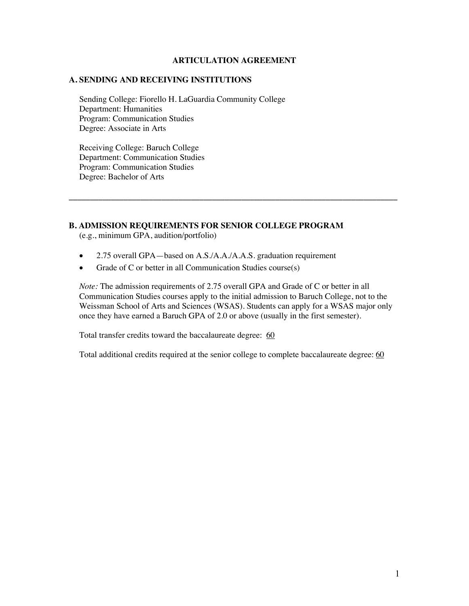#### **ARTICULATION AGREEMENT**

## **A. SENDING AND RECEIVING INSTITUTIONS**

Sending College: Fiorello H. LaGuardia Community College Department: Humanities Program: Communication Studies Degree: Associate in Arts

Receiving College: Baruch College Department: Communication Studies Program: Communication Studies Degree: Bachelor of Arts

#### **B. ADMISSION REQUIREMENTS FOR SENIOR COLLEGE PROGRAM**

(e.g., minimum GPA, audition/portfolio)

- 2.75 overall GPA—based on A.S./A.A./A.A.S. graduation requirement
- Grade of C or better in all Communication Studies course(s)

*Note:* The admission requirements of 2.75 overall GPA and Grade of C or better in all Communication Studies courses apply to the initial admission to Baruch College, not to the Weissman School of Arts and Sciences (WSAS). Students can apply for a WSAS major only once they have earned a Baruch GPA of 2.0 or above (usually in the first semester).

**\_\_\_\_\_\_\_\_\_\_\_\_\_\_\_\_\_\_\_\_\_\_\_\_\_\_\_\_\_\_\_\_\_\_\_\_\_\_\_\_\_\_\_\_\_\_\_\_\_\_\_\_\_\_\_\_\_\_\_\_\_\_\_\_\_\_\_\_\_\_\_\_\_\_\_\_\_\_**

Total transfer credits toward the baccalaureate degree: 60

Total additional credits required at the senior college to complete baccalaureate degree: 60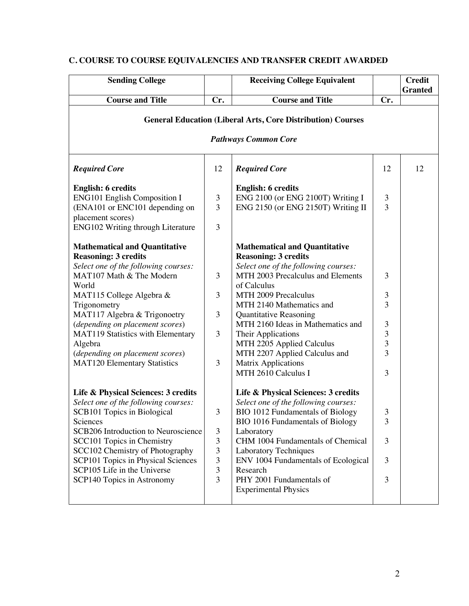| <b>Sending College</b>                                 |                | <b>Receiving College Equivalent</b>                                                               |                | <b>Credit</b><br><b>Granted</b> |
|--------------------------------------------------------|----------------|---------------------------------------------------------------------------------------------------|----------------|---------------------------------|
| <b>Course and Title</b>                                | Cr.            | <b>Course and Title</b>                                                                           | Cr.            |                                 |
|                                                        |                | <b>General Education (Liberal Arts, Core Distribution) Courses</b><br><b>Pathways Common Core</b> |                |                                 |
| <b>Required Core</b>                                   | 12             | <b>Required Core</b>                                                                              | 12             | 12                              |
| <b>English: 6 credits</b>                              |                | <b>English: 6 credits</b>                                                                         |                |                                 |
| <b>ENG101 English Composition I</b>                    | 3              | ENG 2100 (or ENG 2100T) Writing I                                                                 | 3              |                                 |
| (ENA101 or ENC101 depending on                         | 3              | ENG 2150 (or ENG 2150T) Writing II                                                                | 3              |                                 |
| placement scores)<br>ENG102 Writing through Literature | 3              |                                                                                                   |                |                                 |
| <b>Mathematical and Quantitative</b>                   |                | <b>Mathematical and Quantitative</b>                                                              |                |                                 |
| <b>Reasoning: 3 credits</b>                            |                | <b>Reasoning: 3 credits</b>                                                                       |                |                                 |
| Select one of the following courses:                   |                | Select one of the following courses:                                                              |                |                                 |
| MAT107 Math & The Modern                               | 3              | MTH 2003 Precalculus and Elements                                                                 | 3              |                                 |
| World                                                  |                | of Calculus                                                                                       |                |                                 |
| MAT115 College Algebra &                               | 3              | MTH 2009 Precalculus                                                                              | 3              |                                 |
| Trigonometry                                           |                | MTH 2140 Mathematics and                                                                          | 3              |                                 |
| MAT117 Algebra & Trigonoetry                           | 3              | <b>Quantitative Reasoning</b>                                                                     |                |                                 |
| (depending on placement scores)                        |                | MTH 2160 Ideas in Mathematics and                                                                 | $\mathfrak{Z}$ |                                 |
| MAT119 Statistics with Elementary                      | 3              | Their Applications                                                                                | $\overline{3}$ |                                 |
| Algebra                                                |                | MTH 2205 Applied Calculus                                                                         | 3              |                                 |
| (depending on placement scores)                        |                | MTH 2207 Applied Calculus and                                                                     | 3              |                                 |
| <b>MAT120 Elementary Statistics</b>                    | 3              | <b>Matrix Applications</b>                                                                        |                |                                 |
|                                                        |                | MTH 2610 Calculus I                                                                               | 3              |                                 |
| Life & Physical Sciences: 3 credits                    |                | Life & Physical Sciences: 3 credits                                                               |                |                                 |
| Select one of the following courses:                   |                | Select one of the following courses:                                                              |                |                                 |
| SCB101 Topics in Biological                            | 3              | <b>BIO 1012 Fundamentals of Biology</b>                                                           | 3              |                                 |
| Sciences                                               |                | BIO 1016 Fundamentals of Biology                                                                  | 3              |                                 |
| SCB206 Introduction to Neuroscience                    | $\mathfrak{Z}$ | Laboratory                                                                                        |                |                                 |
| SCC101 Topics in Chemistry                             | 3              | CHM 1004 Fundamentals of Chemical                                                                 | 3              |                                 |
| SCC102 Chemistry of Photography                        | 3              | <b>Laboratory Techniques</b>                                                                      |                |                                 |
| SCP101 Topics in Physical Sciences                     | 3              | ENV 1004 Fundamentals of Ecological                                                               | 3              |                                 |
| SCP105 Life in the Universe                            | 3              | Research                                                                                          |                |                                 |
| SCP140 Topics in Astronomy                             | $\overline{3}$ | PHY 2001 Fundamentals of                                                                          | 3              |                                 |
|                                                        |                | <b>Experimental Physics</b>                                                                       |                |                                 |
|                                                        |                |                                                                                                   |                |                                 |

# **C. COURSE TO COURSE EQUIVALENCIES AND TRANSFER CREDIT AWARDED**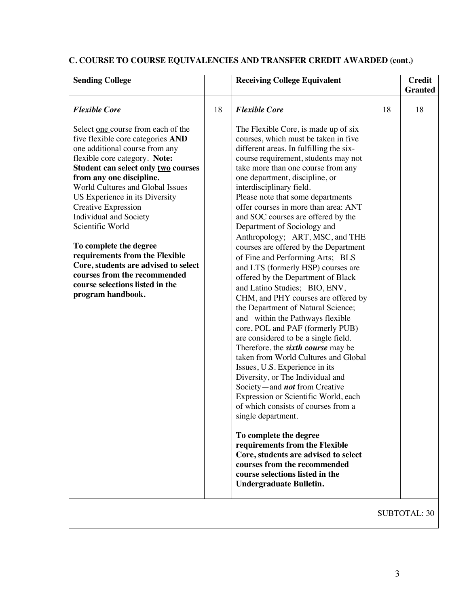# **C. COURSE TO COURSE EQUIVALENCIES AND TRANSFER CREDIT AWARDED (cont.)**

| <b>Sending College</b>                                                                                                                                                                                                                                                                                                                                                                                                                                                                                                                               | <b>Receiving College Equivalent</b>                                                                                                                                                                                                                                                                                                                                                                                                                                                                                                                                                                                                                                                                                                                                                                                                                                                                                                                                                                                                                                                                                                                                                                                                                                                                                                                       |    | <b>Credit</b>  |
|------------------------------------------------------------------------------------------------------------------------------------------------------------------------------------------------------------------------------------------------------------------------------------------------------------------------------------------------------------------------------------------------------------------------------------------------------------------------------------------------------------------------------------------------------|-----------------------------------------------------------------------------------------------------------------------------------------------------------------------------------------------------------------------------------------------------------------------------------------------------------------------------------------------------------------------------------------------------------------------------------------------------------------------------------------------------------------------------------------------------------------------------------------------------------------------------------------------------------------------------------------------------------------------------------------------------------------------------------------------------------------------------------------------------------------------------------------------------------------------------------------------------------------------------------------------------------------------------------------------------------------------------------------------------------------------------------------------------------------------------------------------------------------------------------------------------------------------------------------------------------------------------------------------------------|----|----------------|
|                                                                                                                                                                                                                                                                                                                                                                                                                                                                                                                                                      |                                                                                                                                                                                                                                                                                                                                                                                                                                                                                                                                                                                                                                                                                                                                                                                                                                                                                                                                                                                                                                                                                                                                                                                                                                                                                                                                                           |    | <b>Granted</b> |
| <b>Flexible Core</b><br>18                                                                                                                                                                                                                                                                                                                                                                                                                                                                                                                           | <b>Flexible Core</b>                                                                                                                                                                                                                                                                                                                                                                                                                                                                                                                                                                                                                                                                                                                                                                                                                                                                                                                                                                                                                                                                                                                                                                                                                                                                                                                                      | 18 | 18             |
| Select one course from each of the<br>five flexible core categories AND<br>one additional course from any<br>flexible core category. Note:<br>Student can select only two courses<br>from any one discipline.<br>World Cultures and Global Issues<br>US Experience in its Diversity<br>Creative Expression<br>Individual and Society<br>Scientific World<br>To complete the degree<br>requirements from the Flexible<br>Core, students are advised to select<br>courses from the recommended<br>course selections listed in the<br>program handbook. | The Flexible Core, is made up of six<br>courses, which must be taken in five<br>different areas. In fulfilling the six-<br>course requirement, students may not<br>take more than one course from any<br>one department, discipline, or<br>interdisciplinary field.<br>Please note that some departments<br>offer courses in more than area: ANT<br>and SOC courses are offered by the<br>Department of Sociology and<br>Anthropology; ART, MSC, and THE<br>courses are offered by the Department<br>of Fine and Performing Arts; BLS<br>and LTS (formerly HSP) courses are<br>offered by the Department of Black<br>and Latino Studies; BIO, ENV,<br>CHM, and PHY courses are offered by<br>the Department of Natural Science;<br>and within the Pathways flexible<br>core, POL and PAF (formerly PUB)<br>are considered to be a single field.<br>Therefore, the <i>sixth course</i> may be<br>taken from World Cultures and Global<br>Issues, U.S. Experience in its<br>Diversity, or The Individual and<br>Society-and <i>not</i> from Creative<br>Expression or Scientific World, each<br>of which consists of courses from a<br>single department.<br>To complete the degree<br>requirements from the Flexible<br>Core, students are advised to select<br>courses from the recommended<br>course selections listed in the<br>Undergraduate Bulletin. |    |                |

SUBTOTAL: 30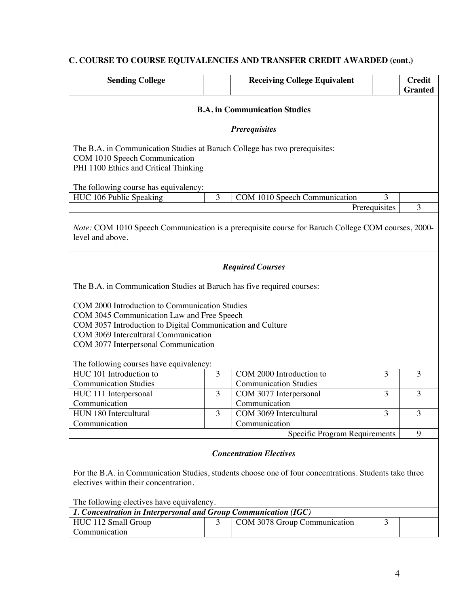# **C. COURSE TO COURSE EQUIVALENCIES AND TRANSFER CREDIT AWARDED (cont.)**

| <b>Sending College</b>                                                                                                                                                                                                                                                                                                                                          |   | <b>Receiving College Equivalent</b>                                                                                                      |               | <b>Credit</b><br><b>Granted</b> |
|-----------------------------------------------------------------------------------------------------------------------------------------------------------------------------------------------------------------------------------------------------------------------------------------------------------------------------------------------------------------|---|------------------------------------------------------------------------------------------------------------------------------------------|---------------|---------------------------------|
|                                                                                                                                                                                                                                                                                                                                                                 |   | <b>B.A.</b> in Communication Studies                                                                                                     |               |                                 |
|                                                                                                                                                                                                                                                                                                                                                                 |   | <b>Prerequisites</b>                                                                                                                     |               |                                 |
| The B.A. in Communication Studies at Baruch College has two prerequisites:<br>COM 1010 Speech Communication<br>PHI 1100 Ethics and Critical Thinking                                                                                                                                                                                                            |   |                                                                                                                                          |               |                                 |
| The following course has equivalency:                                                                                                                                                                                                                                                                                                                           |   |                                                                                                                                          |               |                                 |
| HUC 106 Public Speaking                                                                                                                                                                                                                                                                                                                                         | 3 | COM 1010 Speech Communication                                                                                                            | 3             |                                 |
|                                                                                                                                                                                                                                                                                                                                                                 |   |                                                                                                                                          | Prerequisites | 3                               |
|                                                                                                                                                                                                                                                                                                                                                                 |   | <b>Required Courses</b>                                                                                                                  |               |                                 |
| The B.A. in Communication Studies at Baruch has five required courses:<br>COM 2000 Introduction to Communication Studies<br>COM 3045 Communication Law and Free Speech<br>COM 3057 Introduction to Digital Communication and Culture<br>COM 3069 Intercultural Communication<br>COM 3077 Interpersonal Communication<br>The following courses have equivalency: |   |                                                                                                                                          |               |                                 |
| HUC 101 Introduction to                                                                                                                                                                                                                                                                                                                                         | 3 | COM 2000 Introduction to                                                                                                                 | 3             | 3                               |
| <b>Communication Studies</b>                                                                                                                                                                                                                                                                                                                                    |   | <b>Communication Studies</b>                                                                                                             |               |                                 |
| HUC 111 Interpersonal                                                                                                                                                                                                                                                                                                                                           | 3 | COM 3077 Interpersonal                                                                                                                   | 3             | 3                               |
| Communication                                                                                                                                                                                                                                                                                                                                                   |   | Communication                                                                                                                            |               |                                 |
| HUN 180 Intercultural                                                                                                                                                                                                                                                                                                                                           | 3 | COM 3069 Intercultural                                                                                                                   | 3             | 3                               |
| Communication                                                                                                                                                                                                                                                                                                                                                   |   | Communication                                                                                                                            |               |                                 |
|                                                                                                                                                                                                                                                                                                                                                                 |   | Specific Program Requirements                                                                                                            |               | 9                               |
| electives within their concentration.                                                                                                                                                                                                                                                                                                                           |   | <b>Concentration Electives</b><br>For the B.A. in Communication Studies, students choose one of four concentrations. Students take three |               |                                 |
|                                                                                                                                                                                                                                                                                                                                                                 |   |                                                                                                                                          |               |                                 |
|                                                                                                                                                                                                                                                                                                                                                                 |   |                                                                                                                                          |               |                                 |
| The following electives have equivalency.<br>1. Concentration in Interpersonal and Group Communication (IGC)                                                                                                                                                                                                                                                    |   |                                                                                                                                          |               |                                 |
| HUC 112 Small Group<br>Communication                                                                                                                                                                                                                                                                                                                            | 3 | COM 3078 Group Communication                                                                                                             | 3             |                                 |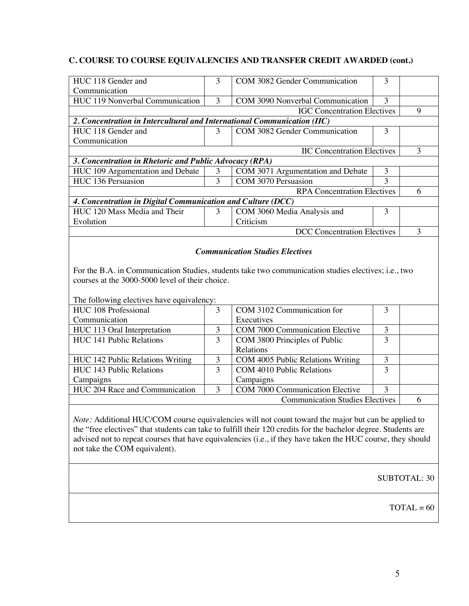## **C. COURSE TO COURSE EQUIVALENCIES AND TRANSFER CREDIT AWARDED (cont.)**

| HUC 118 Gender and                                                                           | 3              | COM 3082 Gender Communication                                                                                                                 | 3              |                |
|----------------------------------------------------------------------------------------------|----------------|-----------------------------------------------------------------------------------------------------------------------------------------------|----------------|----------------|
| Communication                                                                                |                |                                                                                                                                               |                |                |
| HUC 119 Nonverbal Communication                                                              | $\overline{3}$ | COM 3090 Nonverbal Communication                                                                                                              | 3              |                |
|                                                                                              |                | <b>IGC</b> Concentration Electives                                                                                                            |                | 9              |
| 2. Concentration in Intercultural and International Communication (IIC)                      |                |                                                                                                                                               |                |                |
| HUC 118 Gender and                                                                           | 3              | COM 3082 Gender Communication                                                                                                                 | $\overline{3}$ |                |
| Communication                                                                                |                |                                                                                                                                               |                |                |
|                                                                                              |                | <b>IIC Concentration Electives</b>                                                                                                            |                | $\overline{3}$ |
| 3. Concentration in Rhetoric and Public Advocacy (RPA)                                       |                |                                                                                                                                               |                |                |
| HUC 109 Argumentation and Debate                                                             | 3              | COM 3071 Argumentation and Debate                                                                                                             | $\mathfrak{Z}$ |                |
| HUC 136 Persuasion                                                                           | $\overline{3}$ | COM 3070 Persuasion                                                                                                                           | $\overline{3}$ |                |
|                                                                                              |                | <b>RPA Concentration Electives</b>                                                                                                            |                | 6              |
| 4. Concentration in Digital Communication and Culture (DCC)                                  |                |                                                                                                                                               |                |                |
| HUC 120 Mass Media and Their                                                                 | $\overline{3}$ | COM 3060 Media Analysis and                                                                                                                   | 3              |                |
| Evolution                                                                                    |                | Criticism                                                                                                                                     |                |                |
|                                                                                              |                | <b>DCC</b> Concentration Electives                                                                                                            |                | 3              |
| courses at the 3000-5000 level of their choice.<br>The following electives have equivalency: |                | <b>Communication Studies Electives</b><br>For the B.A. in Communication Studies, students take two communication studies electives; i.e., two |                |                |
| HUC 108 Professional                                                                         | $\overline{3}$ | COM 3102 Communication for                                                                                                                    | 3              |                |
| Communication                                                                                |                | Executives                                                                                                                                    |                |                |
| HUC 113 Oral Interpretation                                                                  | $\overline{3}$ | <b>COM 7000 Communication Elective</b>                                                                                                        | $\mathfrak{Z}$ |                |
| HUC 141 Public Relations                                                                     | $\overline{3}$ | COM 3800 Principles of Public                                                                                                                 | $\overline{3}$ |                |
|                                                                                              |                | Relations                                                                                                                                     |                |                |
| HUC 142 Public Relations Writing                                                             | $\mathfrak{Z}$ | COM 4005 Public Relations Writing                                                                                                             | 3              |                |
| <b>HUC 143 Public Relations</b>                                                              | 3              | COM 4010 Public Relations                                                                                                                     | 3              |                |
| Campaigns                                                                                    |                | Campaigns                                                                                                                                     |                |                |
| HUC 204 Race and Communication                                                               | 3              | COM 7000 Communication Elective                                                                                                               | $\overline{3}$ |                |
|                                                                                              |                | <b>Communication Studies Electives</b>                                                                                                        |                | 6              |
|                                                                                              |                | Note: Additional HUC/COM course equivalencies will not count toward the major but can be applied to                                           |                |                |

the "free electives" that students can take to fulfill their 120 credits for the bachelor degree. Students are advised not to repeat courses that have equivalencies (i.e., if they have taken the HUC course, they should not take the COM equivalent).

SUBTOTAL: 30

 $TOTAL = 60$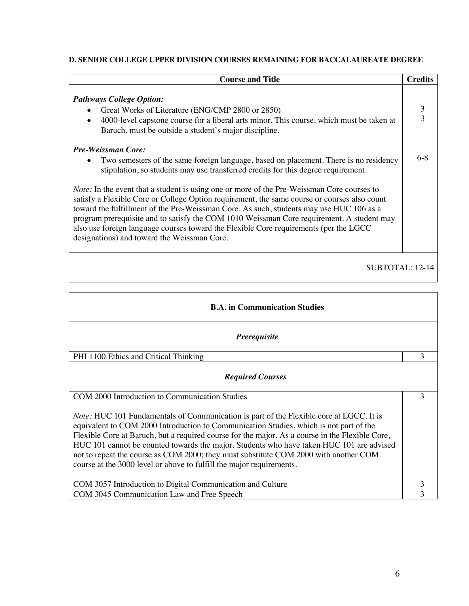## **D. SENIOR COLLEGE UPPER DIVISION COURSES REMAINING FOR BACCALAUREATE DEGREE**

| <b>Course and Title</b>                                                                                                                                                                                                                                                                                                                                                                                                                                                                                                                                                                                                                                                                                                                      | <b>Credits</b>      |
|----------------------------------------------------------------------------------------------------------------------------------------------------------------------------------------------------------------------------------------------------------------------------------------------------------------------------------------------------------------------------------------------------------------------------------------------------------------------------------------------------------------------------------------------------------------------------------------------------------------------------------------------------------------------------------------------------------------------------------------------|---------------------|
| <b>Pathways College Option:</b><br>Great Works of Literature (ENG/CMP 2800 or 2850)<br>4000-level capstone course for a liberal arts minor. This course, which must be taken at<br>Baruch, must be outside a student's major discipline.                                                                                                                                                                                                                                                                                                                                                                                                                                                                                                     | 3<br>$\overline{3}$ |
| <b>Pre-Weissman Core:</b><br>Two semesters of the same foreign language, based on placement. There is no residency<br>stipulation, so students may use transferred credits for this degree requirement.<br><i>Note:</i> In the event that a student is using one or more of the Pre-Weissman Core courses to<br>satisfy a Flexible Core or College Option requirement, the same course or courses also count<br>toward the fulfillment of the Pre-Weissman Core. As such, students may use HUC 106 as a<br>program prerequisite and to satisfy the COM 1010 Weissman Core requirement. A student may<br>also use foreign language courses toward the Flexible Core requirements (per the LGCC<br>designations) and toward the Weissman Core. | $6 - 8$             |
| SUBTOTAL: 12-14                                                                                                                                                                                                                                                                                                                                                                                                                                                                                                                                                                                                                                                                                                                              |                     |

| <b>B.A.</b> in Communication Studies                                                                                                                                                                                                                                                                                                                                                                                                                                                                                                                    |   |
|---------------------------------------------------------------------------------------------------------------------------------------------------------------------------------------------------------------------------------------------------------------------------------------------------------------------------------------------------------------------------------------------------------------------------------------------------------------------------------------------------------------------------------------------------------|---|
| <i>Prerequisite</i>                                                                                                                                                                                                                                                                                                                                                                                                                                                                                                                                     |   |
| PHI 1100 Ethics and Critical Thinking                                                                                                                                                                                                                                                                                                                                                                                                                                                                                                                   | 3 |
| <b>Required Courses</b>                                                                                                                                                                                                                                                                                                                                                                                                                                                                                                                                 |   |
| COM 2000 Introduction to Communication Studies                                                                                                                                                                                                                                                                                                                                                                                                                                                                                                          | 3 |
| <i>Note:</i> HUC 101 Fundamentals of Communication is part of the Flexible core at LGCC. It is<br>equivalent to COM 2000 Introduction to Communication Studies, which is not part of the<br>Flexible Core at Baruch, but a required course for the major. As a course in the Flexible Core,<br>HUC 101 cannot be counted towards the major. Students who have taken HUC 101 are advised<br>not to repeat the course as COM 2000; they must substitute COM 2000 with another COM<br>course at the 3000 level or above to fulfill the major requirements. |   |
| COM 3057 Introduction to Digital Communication and Culture                                                                                                                                                                                                                                                                                                                                                                                                                                                                                              | 3 |
| COM 3045 Communication Law and Free Speech                                                                                                                                                                                                                                                                                                                                                                                                                                                                                                              | 3 |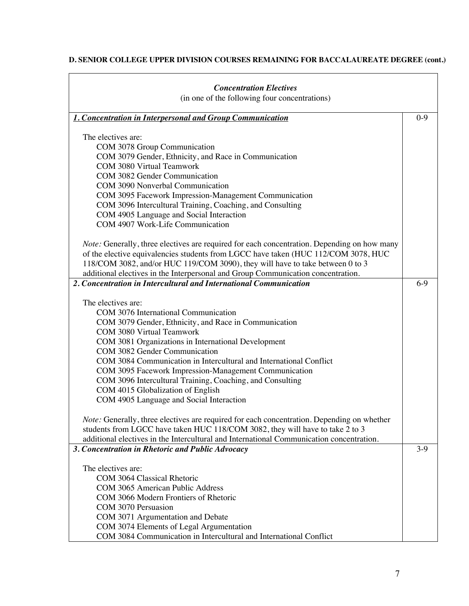# **D. SENIOR COLLEGE UPPER DIVISION COURSES REMAINING FOR BACCALAUREATE DEGREE (cont.)**

| <b>Concentration Electives</b>                                                                                     |         |
|--------------------------------------------------------------------------------------------------------------------|---------|
| (in one of the following four concentrations)                                                                      |         |
| 1. Concentration in Interpersonal and Group Communication                                                          | $0 - 9$ |
| The electives are:                                                                                                 |         |
| COM 3078 Group Communication                                                                                       |         |
| COM 3079 Gender, Ethnicity, and Race in Communication                                                              |         |
| <b>COM 3080 Virtual Teamwork</b>                                                                                   |         |
| COM 3082 Gender Communication                                                                                      |         |
| COM 3090 Nonverbal Communication                                                                                   |         |
| COM 3095 Facework Impression-Management Communication                                                              |         |
| COM 3096 Intercultural Training, Coaching, and Consulting                                                          |         |
| COM 4905 Language and Social Interaction<br>COM 4907 Work-Life Communication                                       |         |
|                                                                                                                    |         |
| <i>Note:</i> Generally, three electives are required for each concentration. Depending on how many                 |         |
| of the elective equivalencies students from LGCC have taken (HUC 112/COM 3078, HUC                                 |         |
| 118/COM 3082, and/or HUC 119/COM 3090), they will have to take between 0 to 3                                      |         |
| additional electives in the Interpersonal and Group Communication concentration.                                   |         |
| 2. Concentration in Intercultural and International Communication                                                  | $6-9$   |
|                                                                                                                    |         |
| The electives are:                                                                                                 |         |
| COM 3076 International Communication                                                                               |         |
| COM 3079 Gender, Ethnicity, and Race in Communication                                                              |         |
| <b>COM 3080 Virtual Teamwork</b>                                                                                   |         |
| COM 3081 Organizations in International Development                                                                |         |
| COM 3082 Gender Communication                                                                                      |         |
| COM 3084 Communication in Intercultural and International Conflict                                                 |         |
| COM 3095 Facework Impression-Management Communication<br>COM 3096 Intercultural Training, Coaching, and Consulting |         |
| COM 4015 Globalization of English                                                                                  |         |
| COM 4905 Language and Social Interaction                                                                           |         |
|                                                                                                                    |         |
| Note: Generally, three electives are required for each concentration. Depending on whether                         |         |
| students from LGCC have taken HUC 118/COM 3082, they will have to take 2 to 3                                      |         |
| additional electives in the Intercultural and International Communication concentration.                           |         |
| 3. Concentration in Rhetoric and Public Advocacy                                                                   | $3-9$   |
|                                                                                                                    |         |
| The electives are:                                                                                                 |         |
| COM 3064 Classical Rhetoric                                                                                        |         |
| COM 3065 American Public Address                                                                                   |         |
| COM 3066 Modern Frontiers of Rhetoric<br>COM 3070 Persuasion                                                       |         |
| COM 3071 Argumentation and Debate                                                                                  |         |
| COM 3074 Elements of Legal Argumentation                                                                           |         |
| COM 3084 Communication in Intercultural and International Conflict                                                 |         |
|                                                                                                                    |         |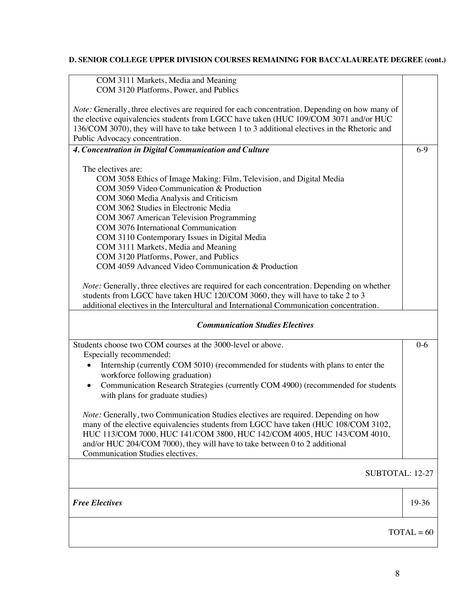# **D. SENIOR COLLEGE UPPER DIVISION COURSES REMAINING FOR BACCALAUREATE DEGREE (cont.)**

| COM 3111 Markets, Media and Meaning<br>COM 3120 Platforms, Power, and Publics                                                                                                          |              |
|----------------------------------------------------------------------------------------------------------------------------------------------------------------------------------------|--------------|
|                                                                                                                                                                                        |              |
| <i>Note:</i> Generally, three electives are required for each concentration. Depending on how many of                                                                                  |              |
| the elective equivalencies students from LGCC have taken (HUC 109/COM 3071 and/or HUC<br>136/COM 3070), they will have to take between 1 to 3 additional electives in the Rhetoric and |              |
| Public Advocacy concentration.                                                                                                                                                         |              |
| 4. Concentration in Digital Communication and Culture                                                                                                                                  | $6-9$        |
|                                                                                                                                                                                        |              |
| The electives are:                                                                                                                                                                     |              |
| COM 3058 Ethics of Image Making: Film, Television, and Digital Media<br>COM 3059 Video Communication & Production                                                                      |              |
| COM 3060 Media Analysis and Criticism                                                                                                                                                  |              |
| COM 3062 Studies in Electronic Media                                                                                                                                                   |              |
| COM 3067 American Television Programming                                                                                                                                               |              |
| COM 3076 International Communication                                                                                                                                                   |              |
| COM 3110 Contemporary Issues in Digital Media                                                                                                                                          |              |
| COM 3111 Markets, Media and Meaning                                                                                                                                                    |              |
| COM 3120 Platforms, Power, and Publics<br>COM 4059 Advanced Video Communication & Production                                                                                           |              |
|                                                                                                                                                                                        |              |
| Note: Generally, three electives are required for each concentration. Depending on whether                                                                                             |              |
| students from LGCC have taken HUC 120/COM 3060, they will have to take 2 to 3                                                                                                          |              |
| additional electives in the Intercultural and International Communication concentration.                                                                                               |              |
| <b>Communication Studies Electives</b>                                                                                                                                                 |              |
| Students choose two COM courses at the 3000-level or above.                                                                                                                            | $0-6$        |
| Especially recommended:                                                                                                                                                                |              |
| Internship (currently COM 5010) (recommended for students with plans to enter the<br>$\bullet$<br>workforce following graduation)                                                      |              |
| Communication Research Strategies (currently COM 4900) (recommended for students<br>$\bullet$                                                                                          |              |
|                                                                                                                                                                                        |              |
| with plans for graduate studies)                                                                                                                                                       |              |
|                                                                                                                                                                                        |              |
| <i>Note:</i> Generally, two Communication Studies electives are required. Depending on how                                                                                             |              |
| many of the elective equivalencies students from LGCC have taken (HUC 108/COM 3102,                                                                                                    |              |
| HUC 113/COM 7000, HUC 141/COM 3800, HUC 142/COM 4005, HUC 143/COM 4010,<br>and/or HUC 204/COM 7000), they will have to take between 0 to 2 additional                                  |              |
| Communication Studies electives.                                                                                                                                                       |              |
|                                                                                                                                                                                        |              |
| SUBTOTAL: 12-27                                                                                                                                                                        |              |
|                                                                                                                                                                                        |              |
| <b>Free Electives</b>                                                                                                                                                                  | 19-36        |
|                                                                                                                                                                                        |              |
|                                                                                                                                                                                        | $TOTAL = 60$ |